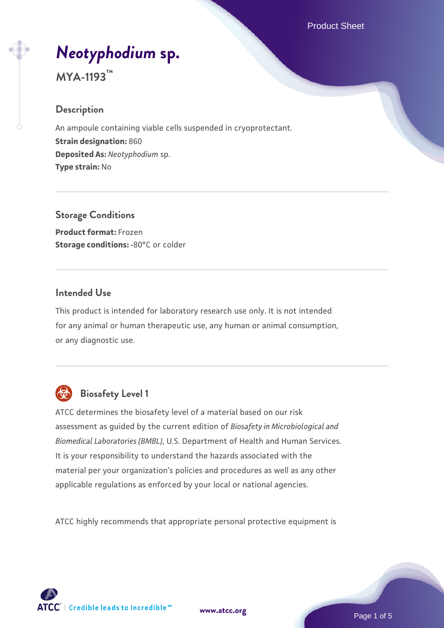# *[Neotyphodium](https://www.atcc.org/products/mya-1193)* **[sp.](https://www.atcc.org/products/mya-1193)**

# **MYA-1193™**

#### **Description**

An ampoule containing viable cells suspended in cryoprotectant. **Strain designation:** 860 **Deposited As:** *Neotyphodium* sp. **Type strain:** No

**Storage Conditions Product format:** Frozen **Storage conditions: -80°C or colder** 

#### **Intended Use**

This product is intended for laboratory research use only. It is not intended for any animal or human therapeutic use, any human or animal consumption, or any diagnostic use.



# **Biosafety Level 1**

ATCC determines the biosafety level of a material based on our risk assessment as guided by the current edition of *Biosafety in Microbiological and Biomedical Laboratories (BMBL)*, U.S. Department of Health and Human Services. It is your responsibility to understand the hazards associated with the material per your organization's policies and procedures as well as any other applicable regulations as enforced by your local or national agencies.

ATCC highly recommends that appropriate personal protective equipment is

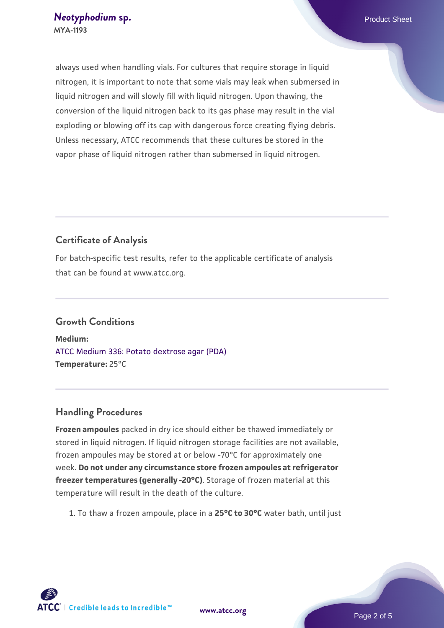always used when handling vials. For cultures that require storage in liquid nitrogen, it is important to note that some vials may leak when submersed in liquid nitrogen and will slowly fill with liquid nitrogen. Upon thawing, the conversion of the liquid nitrogen back to its gas phase may result in the vial exploding or blowing off its cap with dangerous force creating flying debris. Unless necessary, ATCC recommends that these cultures be stored in the vapor phase of liquid nitrogen rather than submersed in liquid nitrogen.

## **Certificate of Analysis**

For batch-specific test results, refer to the applicable certificate of analysis that can be found at www.atcc.org.

# **Growth Conditions**

**Medium:**  [ATCC Medium 336: Potato dextrose agar \(PDA\)](https://www.atcc.org/-/media/product-assets/documents/microbial-media-formulations/3/3/6/atcc-medium-336.pdf?rev=d9160ad44d934cd8b65175461abbf3b9) **Temperature:** 25°C

#### **Handling Procedures**

**Frozen ampoules** packed in dry ice should either be thawed immediately or stored in liquid nitrogen. If liquid nitrogen storage facilities are not available, frozen ampoules may be stored at or below -70°C for approximately one week. **Do not under any circumstance store frozen ampoules at refrigerator freezer temperatures (generally -20°C)**. Storage of frozen material at this temperature will result in the death of the culture.

1. To thaw a frozen ampoule, place in a **25°C to 30°C** water bath, until just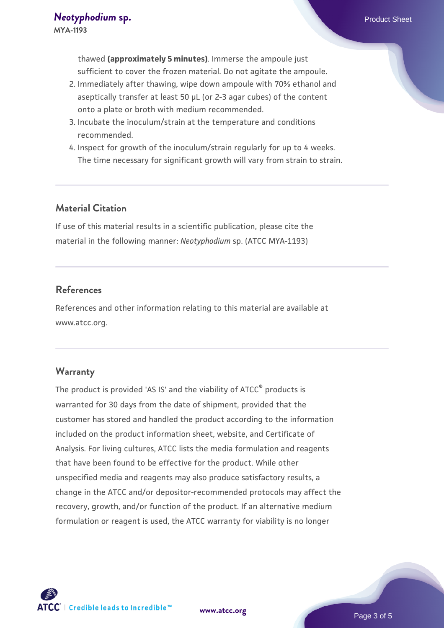thawed **(approximately 5 minutes)**. Immerse the ampoule just sufficient to cover the frozen material. Do not agitate the ampoule.

- 2. Immediately after thawing, wipe down ampoule with 70% ethanol and aseptically transfer at least 50 µL (or 2-3 agar cubes) of the content onto a plate or broth with medium recommended.
- 3. Incubate the inoculum/strain at the temperature and conditions recommended.
- 4. Inspect for growth of the inoculum/strain regularly for up to 4 weeks. The time necessary for significant growth will vary from strain to strain.

#### **Material Citation**

If use of this material results in a scientific publication, please cite the material in the following manner: *Neotyphodium* sp. (ATCC MYA-1193)

#### **References**

References and other information relating to this material are available at www.atcc.org.

#### **Warranty**

The product is provided 'AS IS' and the viability of ATCC® products is warranted for 30 days from the date of shipment, provided that the customer has stored and handled the product according to the information included on the product information sheet, website, and Certificate of Analysis. For living cultures, ATCC lists the media formulation and reagents that have been found to be effective for the product. While other unspecified media and reagents may also produce satisfactory results, a change in the ATCC and/or depositor-recommended protocols may affect the recovery, growth, and/or function of the product. If an alternative medium formulation or reagent is used, the ATCC warranty for viability is no longer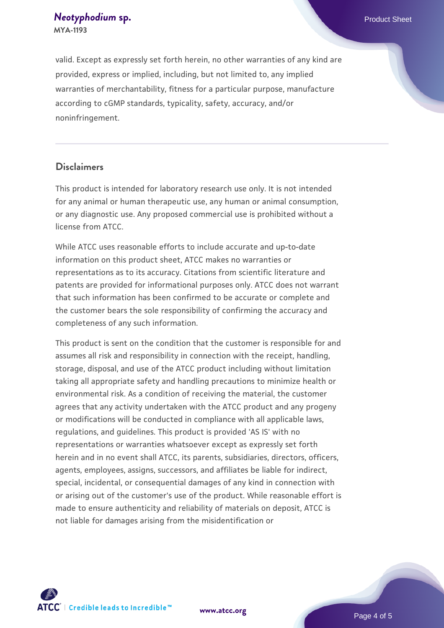*[Neotyphodium](https://www.atcc.org/products/mya-1193)* **[sp.](https://www.atcc.org/products/mya-1193) Product Sheet** *Neotyphodium***<sub>sp.</sub> Product Sheet <b>Product Sheet MYA-1193**

valid. Except as expressly set forth herein, no other warranties of any kind are provided, express or implied, including, but not limited to, any implied warranties of merchantability, fitness for a particular purpose, manufacture according to cGMP standards, typicality, safety, accuracy, and/or noninfringement.

#### **Disclaimers**

This product is intended for laboratory research use only. It is not intended for any animal or human therapeutic use, any human or animal consumption, or any diagnostic use. Any proposed commercial use is prohibited without a license from ATCC.

While ATCC uses reasonable efforts to include accurate and up-to-date information on this product sheet, ATCC makes no warranties or representations as to its accuracy. Citations from scientific literature and patents are provided for informational purposes only. ATCC does not warrant that such information has been confirmed to be accurate or complete and the customer bears the sole responsibility of confirming the accuracy and completeness of any such information.

This product is sent on the condition that the customer is responsible for and assumes all risk and responsibility in connection with the receipt, handling, storage, disposal, and use of the ATCC product including without limitation taking all appropriate safety and handling precautions to minimize health or environmental risk. As a condition of receiving the material, the customer agrees that any activity undertaken with the ATCC product and any progeny or modifications will be conducted in compliance with all applicable laws, regulations, and guidelines. This product is provided 'AS IS' with no representations or warranties whatsoever except as expressly set forth herein and in no event shall ATCC, its parents, subsidiaries, directors, officers, agents, employees, assigns, successors, and affiliates be liable for indirect, special, incidental, or consequential damages of any kind in connection with or arising out of the customer's use of the product. While reasonable effort is made to ensure authenticity and reliability of materials on deposit, ATCC is not liable for damages arising from the misidentification or



**[www.atcc.org](http://www.atcc.org)**

Page 4 of 5